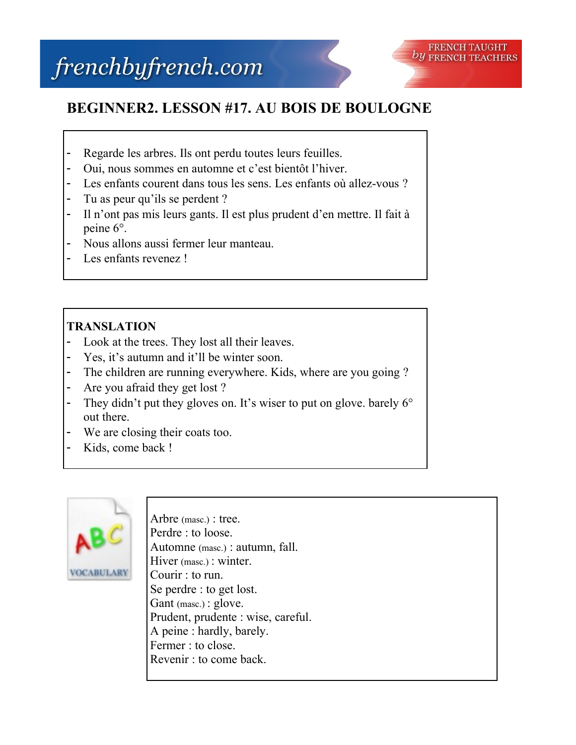

## **BEGINNER2. LESSON #17. AU BOIS DE BOULOGNE**

- Regarde les arbres. Ils ont perdu toutes leurs feuilles.
- Oui, nous sommes en automne et c'est bientôt l'hiver.
- Les enfants courent dans tous les sens. Les enfants où allez-vous ?
- Tu as peur qu'ils se perdent ?
- Il n'ont pas mis leurs gants. Il est plus prudent d'en mettre. Il fait à peine 6°.
- Nous allons aussi fermer leur manteau.
- Les enfants revenez !

## **TRANSLATION**

- Look at the trees. They lost all their leaves.
- Yes, it's autumn and it'll be winter soon.
- The children are running everywhere. Kids, where are you going ?
- Are you afraid they get lost?
- They didn't put they gloves on. It's wiser to put on glove. barely 6° out there.
- We are closing their coats too.
- Kids, come back !



Arbre (masc.) : tree. Perdre : to loose. Automne (masc.) : autumn, fall. Hiver (masc.) : winter. Courir : to run. Se perdre : to get lost. Gant (masc.) : glove. Prudent, prudente : wise, careful. A peine : hardly, barely. Fermer : to close. Revenir : to come back.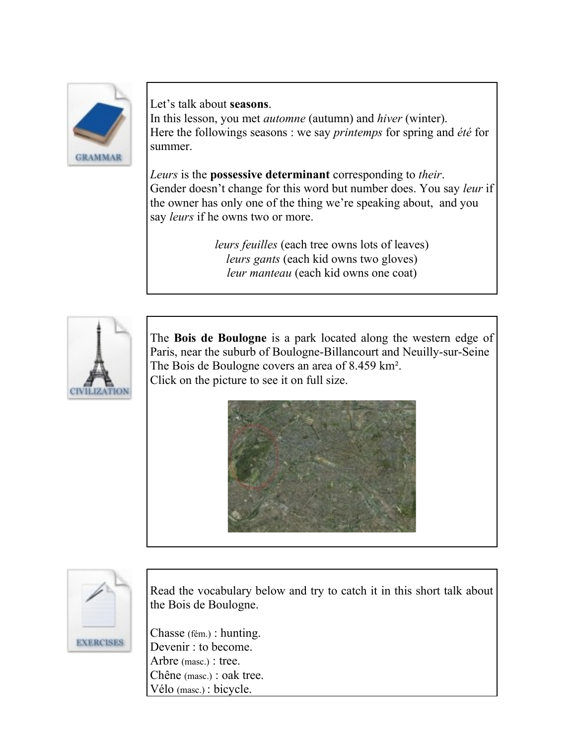

Let's talk about **seasons**.

In this lesson, you met *automne* (autumn) and *hiver* (winter). Here the followings seasons : we say *printemps* for spring and *été* for summer.

*Leurs* is the **possessive determinant** corresponding to *their*. Gender doesn't change for this word but number does. You say *leur* if the owner has only one of the thing we're speaking about, and you say *leurs* if he owns two or more.

> *leurs feuilles* (each tree owns lots of leaves) *leurs gants* (each kid owns two gloves) *leur manteau* (each kid owns one coat)



The **Bois de Boulogne** is a park located along the western edge of Paris, near the suburb of Boulogne-Billancourt and Neuilly-sur-Seine The Bois de Boulogne covers an area of 8.459 km². Click on the picture to see it on full size.





Read the vocabulary below and try to catch it in this short talk about the Bois de Boulogne.

Chasse (fém.) : hunting. Devenir : to become. Arbre (masc.) : tree. Chêne (masc.) : oak tree. Vélo (masc.) : bicycle.